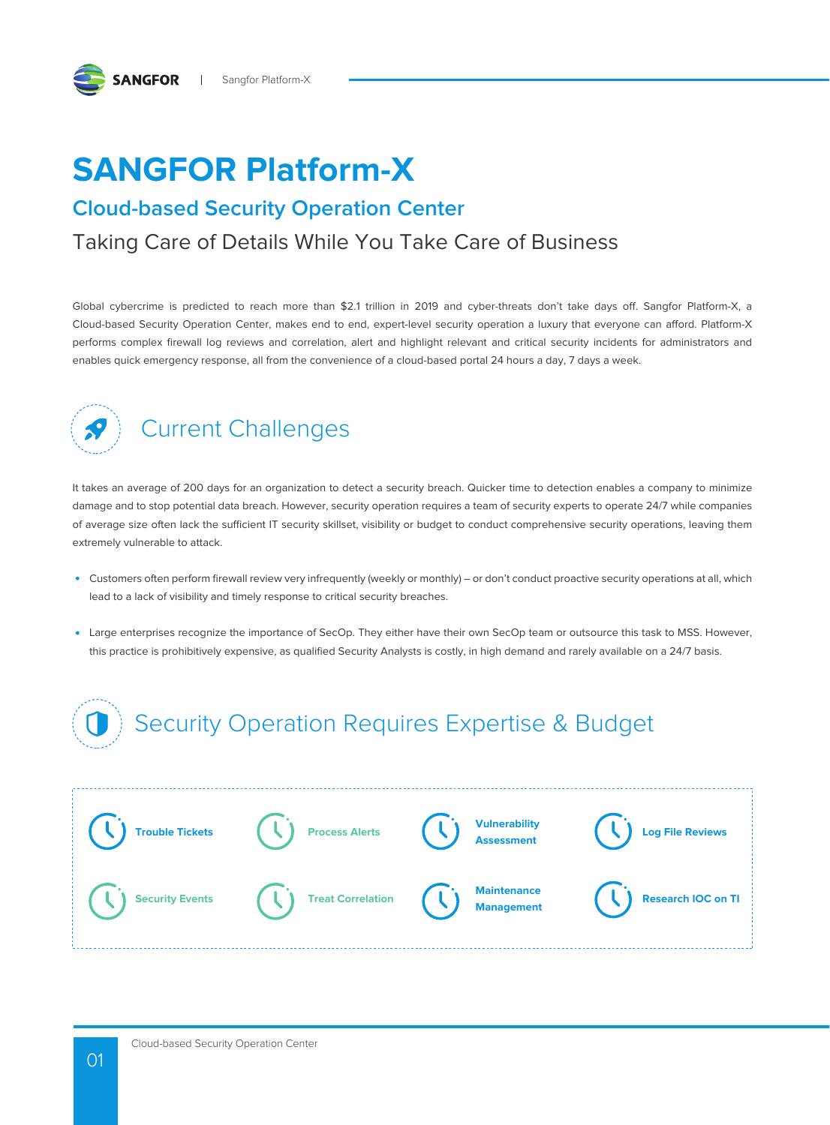

# **SANGFOR Platform-X**

### **Cloud-based Security Operation Center**

### Taking Care of Details While You Take Care of Business

Global cybercrime is predicted to reach more than \$2.1 trillion in 2019 and cyber-threats don't take days off. Sangfor Platform-X, a Cloud-based Security Operation Center, makes end to end, expert-level security operation a luxury that everyone can afford. Platform-X performs complex firewall log reviews and correlation, alert and highlight relevant and critical security incidents for administrators and enables quick emergency response, all from the convenience of a cloud-based portal 24 hours a day, 7 days a week.



### Current Challenges

It takes an average of 200 days for an organization to detect a security breach. Quicker time to detection enables a company to minimize damage and to stop potential data breach. However, security operation requires a team of security experts to operate 24/7 while companies of average size often lack the sufficient IT security skillset, visibility or budget to conduct comprehensive security operations, leaving them extremely vulnerable to attack.

- Customers often perform firewall review very infrequently (weekly or monthly) or don't conduct proactive security operations at all, which lead to a lack of visibility and timely response to critical security breaches.
- Large enterprises recognize the importance of SecOp. They either have their own SecOp team or outsource this task to MSS. However, this practice is prohibitively expensive, as qualified Security Analysts is costly, in high demand and rarely available on a 24/7 basis.

## Security Operation Requires Expertise & Budget

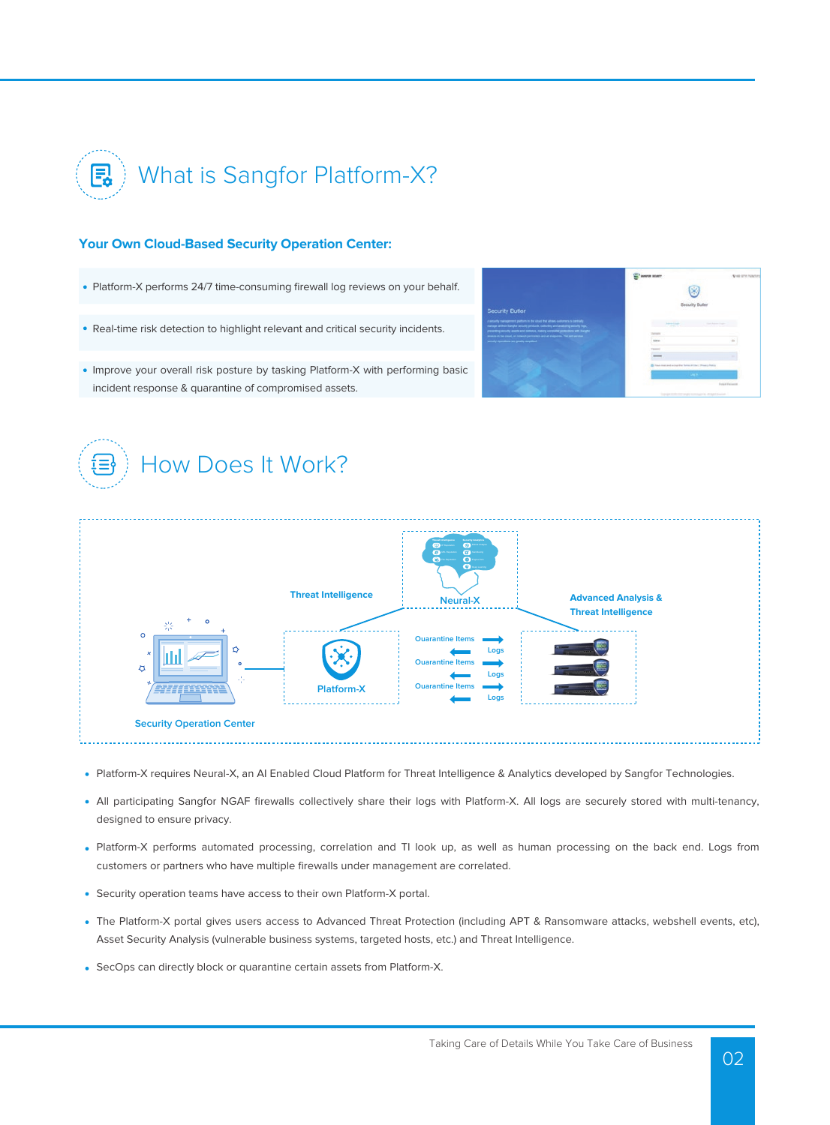

#### **Your Own Cloud-Based Security Operation Center:**

- Platform-X performs 24/7 time-consuming firewall log reviews on your behalf.
- Real-time risk detection to highlight relevant and critical security incidents.

How Does It Work?



Improve your overall risk posture by tasking Platform-X with performing basic incident response & quarantine of compromised assets.



- Platform-X requires Neural-X, an AI Enabled Cloud Platform for Threat Intelligence & Analytics developed by Sangfor Technologies.
- All participating Sangfor NGAF firewalls collectively share their logs with Platform-X. All logs are securely stored with multi-tenancy, designed to ensure privacy.
- Platform-X performs automated processing, correlation and TI look up, as well as human processing on the back end. Logs from customers or partners who have multiple firewalls under management are correlated.
- Security operation teams have access to their own Platform-X portal.
- The Platform-X portal gives users access to Advanced Threat Protection (including APT & Ransomware attacks, webshell events, etc), Asset Security Analysis (vulnerable business systems, targeted hosts, etc.) and Threat Intelligence.
- SecOps can directly block or quarantine certain assets from Platform-X.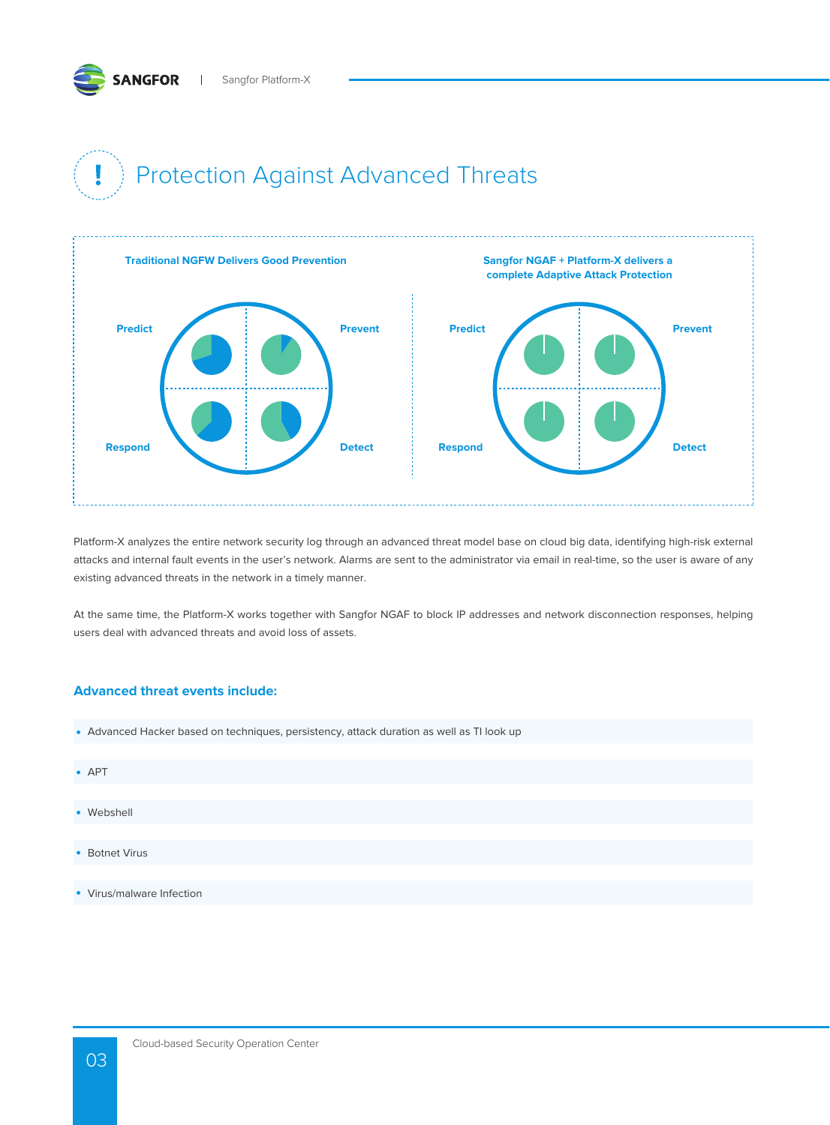# Protection Against Advanced Threats



Platform-X analyzes the entire network security log through an advanced threat model base on cloud big data, identifying high-risk external attacks and internal fault events in the user's network. Alarms are sent to the administrator via email in real-time, so the user is aware of any existing advanced threats in the network in a timely manner.

At the same time, the Platform-X works together with Sangfor NGAF to block IP addresses and network disconnection responses, helping users deal with advanced threats and avoid loss of assets.

#### **Advanced threat events include:**

| • Advanced Hacker based on techniques, persistency, attack duration as well as TI look up |  |  |
|-------------------------------------------------------------------------------------------|--|--|
|                                                                                           |  |  |
| $\bullet$ APT                                                                             |  |  |
|                                                                                           |  |  |
| • Webshell                                                                                |  |  |
|                                                                                           |  |  |
| • Botnet Virus                                                                            |  |  |
|                                                                                           |  |  |
| • Virus/malware Infection                                                                 |  |  |